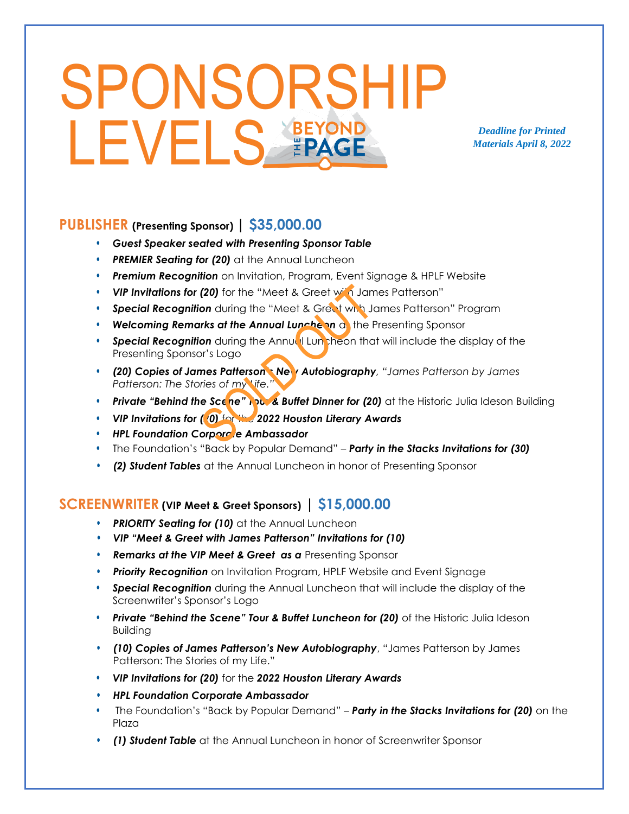# SPONSORSHIP LEVELS FRAGE

*Deadline for Printed Materials April 8, 2022*

#### **PUBLISHER (Presenting Sponsor) | \$35,000.00**

- *Guest Speaker seated with Presenting Sponsor Table*
- *PREMIER Seating for (20)* at the Annual Luncheon
- *Premium Recognition* on Invitation, Program, Event Signage & HPLF Website
- *VIP Invitations for (20)* for the "Meet & Greet with James Patterson"
- **Special Recognition** during the "Meet & Great with James Patterson" Program
- *Welcoming Remarks at the Annual Luncheon* at the Presenting Sponsor
- **Special Recognition** during the Annual Luncheon that will include the display of the Presenting Sponsor's Logo
- *(20) Copies of James Patterson's New Autobiography, "James Patterson by James Patterson: The Stories of my Life."*
- **Private "Behind the Scene" <b>Rout & Buffet Dinner for (20)** at the Historic Julia Ideson Building
- *VIP Invitations for (20)* for the *2022 Houston Literary Awards*
- **HPL Foundation Corporate Ambassador**
- The Foundation's "Back by Popular Demand" *Party in the Stacks Invitations for (30)*
- *(2) Student Tables* at the Annual Luncheon in honor of Presenting Sponsor

#### **SCREENWRITER (VIP Meet & Greet Sponsors) | \$15,000.00**

- *PRIORITY Seating for (10)* at the Annual Luncheon
- *VIP "Meet & Greet with James Patterson" Invitations for (10)*
- *Remarks at the VIP Meet & Greet as a* Presenting Sponsor
- *Priority Recognition* on Invitation Program, HPLF Website and Event Signage
- *Special Recognition* during the Annual Luncheon that will include the display of the Screenwriter's Sponsor's Logo
- *Private "Behind the Scene" Tour & Buffet Luncheon for (20)* of the Historic Julia Ideson Building
- *(10) Copies of James Patterson's New Autobiography*, "James Patterson by James Patterson: The Stories of my Life."
- *VIP Invitations for (20)* for the *2022 Houston Literary Awards*
- *HPL Foundation Corporate Ambassador*
- The Foundation's "Back by Popular Demand" *Party in the Stacks Invitations for (20)* on the Plaza
- *(1) Student Table* at the Annual Luncheon in honor of Screenwriter Sponsor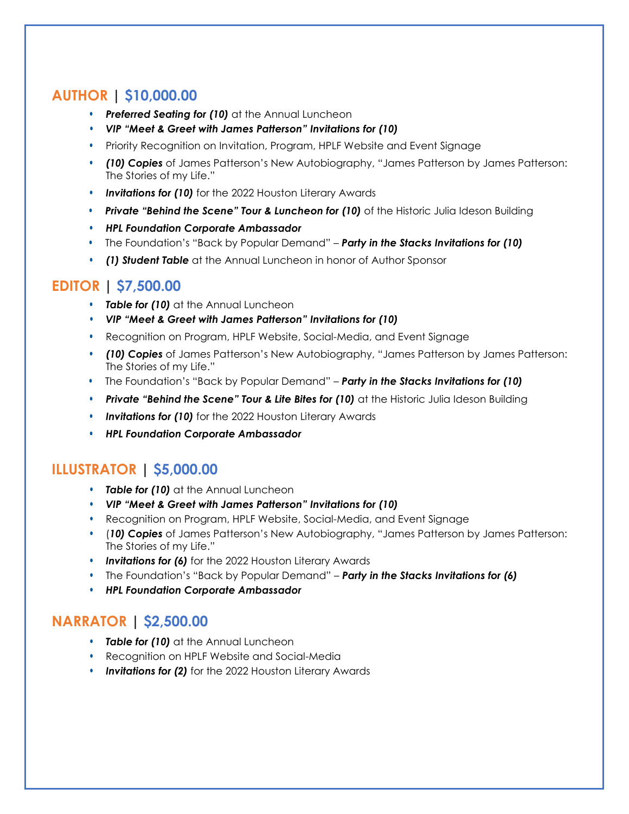### **AUTHOR | \$10,000.00**

- *Preferred Seating for (10)* at the Annual Luncheon
- *VIP "Meet & Greet with James Patterson" Invitations for (10)*
- Priority Recognition on Invitation, Program, HPLF Website and Event Signage
- *(10) Copies* of James Patterson's New Autobiography, "James Patterson by James Patterson: The Stories of my Life."
- *Invitations for (10)* for the 2022 Houston Literary Awards
- *Private "Behind the Scene" Tour & Luncheon for (10)* of the Historic Julia Ideson Building
- *HPL Foundation Corporate Ambassador*
- The Foundation's "Back by Popular Demand" *Party in the Stacks Invitations for (10)*
- *(1) Student Table* at the Annual Luncheon in honor of Author Sponsor

#### **EDITOR | \$7,500.00**

- *Table for (10)* at the Annual Luncheon
- *VIP "Meet & Greet with James Patterson" Invitations for (10)*
- Recognition on Program, HPLF Website, Social-Media, and Event Signage
- *(10) Copies* of James Patterson's New Autobiography, "James Patterson by James Patterson: The Stories of my Life."
- The Foundation's "Back by Popular Demand" *Party in the Stacks Invitations for (10)*
- *Private "Behind the Scene" Tour & Lite Bites for (10)* at the Historic Julia Ideson Building
- *Invitations for (10)* for the 2022 Houston Literary Awards
- *HPL Foundation Corporate Ambassador*

#### **ILLUSTRATOR | \$5,000.00**

- *Table for (10)* at the Annual Luncheon
- *VIP "Meet & Greet with James Patterson" Invitations for (10)*
- Recognition on Program, HPLF Website, Social-Media, and Event Signage
- (*10) Copies* of James Patterson's New Autobiography, "James Patterson by James Patterson: The Stories of my Life."
- *Invitations for (6)* for the 2022 Houston Literary Awards
- The Foundation's "Back by Popular Demand" *Party in the Stacks Invitations for (6)*
- *HPL Foundation Corporate Ambassador*

#### **NARRATOR | \$2,500.00**

- *Table for (10)* at the Annual Luncheon
- Recognition on HPLF Website and Social-Media
- *Invitations for (2)* for the 2022 Houston Literary Awards